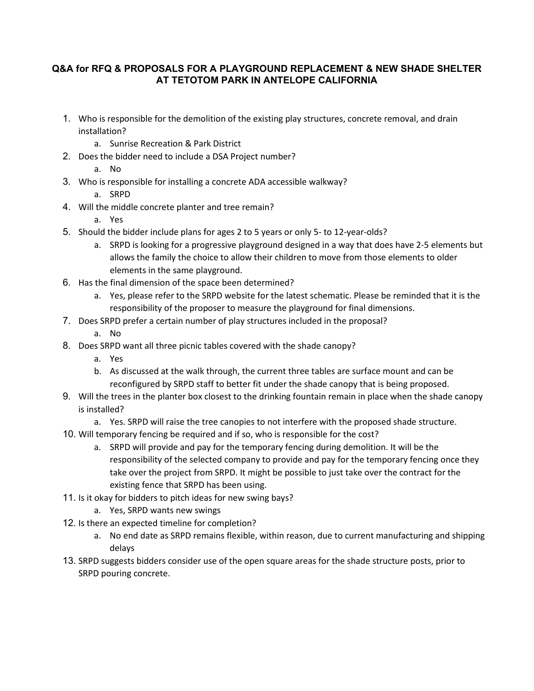## **Q&A for RFQ & PROPOSALS FOR A PLAYGROUND REPLACEMENT & NEW SHADE SHELTER AT TETOTOM PARK IN ANTELOPE CALIFORNIA**

- 1. Who is responsible for the demolition of the existing play structures, concrete removal, and drain installation?
	- a. Sunrise Recreation & Park District
- 2. Does the bidder need to include a DSA Project number?
- 3. Who is responsible for installing a concrete ADA accessible walkway?
	- a. SRPD

a. No

- 4. Will the middle concrete planter and tree remain?
	- a. Yes
- 5. Should the bidder include plans for ages 2 to 5 years or only 5- to 12-year-olds?
	- a. SRPD is looking for a progressive playground designed in a way that does have 2-5 elements but allows the family the choice to allow their children to move from those elements to older elements in the same playground.
- 6. Has the final dimension of the space been determined?
	- a. Yes, please refer to the SRPD website for the latest schematic. Please be reminded that it is the responsibility of the proposer to measure the playground for final dimensions.
- 7. Does SRPD prefer a certain number of play structures included in the proposal?
	- a. No
- 8. Does SRPD want all three picnic tables covered with the shade canopy?
	- a. Yes
	- b. As discussed at the walk through, the current three tables are surface mount and can be reconfigured by SRPD staff to better fit under the shade canopy that is being proposed.
- 9. Will the trees in the planter box closest to the drinking fountain remain in place when the shade canopy is installed?
	- a. Yes. SRPD will raise the tree canopies to not interfere with the proposed shade structure.
- 10. Will temporary fencing be required and if so, who is responsible for the cost?
	- a. SRPD will provide and pay for the temporary fencing during demolition. It will be the responsibility of the selected company to provide and pay for the temporary fencing once they take over the project from SRPD. It might be possible to just take over the contract for the existing fence that SRPD has been using.
- 11. Is it okay for bidders to pitch ideas for new swing bays?
	- a. Yes, SRPD wants new swings
- 12. Is there an expected timeline for completion?
	- a. No end date as SRPD remains flexible, within reason, due to current manufacturing and shipping delays
- 13. SRPD suggests bidders consider use of the open square areas for the shade structure posts, prior to SRPD pouring concrete.